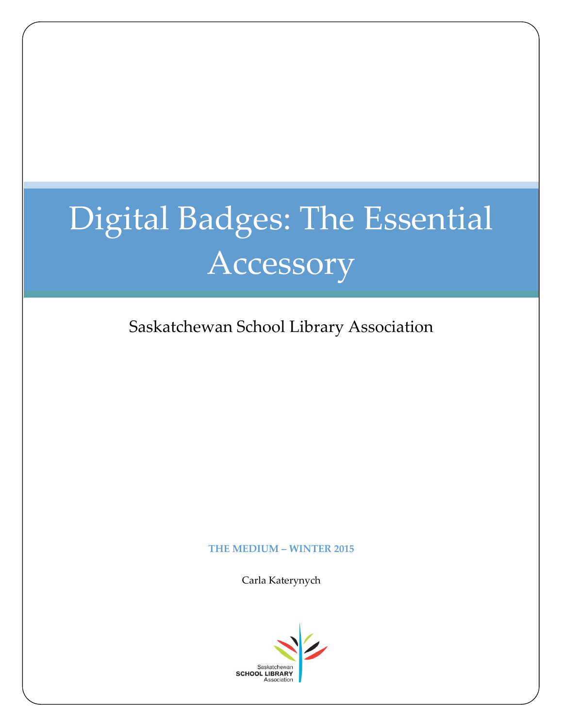# Digital Badges: The Essential Accessory

Saskatchewan School Library Association

#### **THE MEDIUM – WINTER 2015**

Carla Katerynych

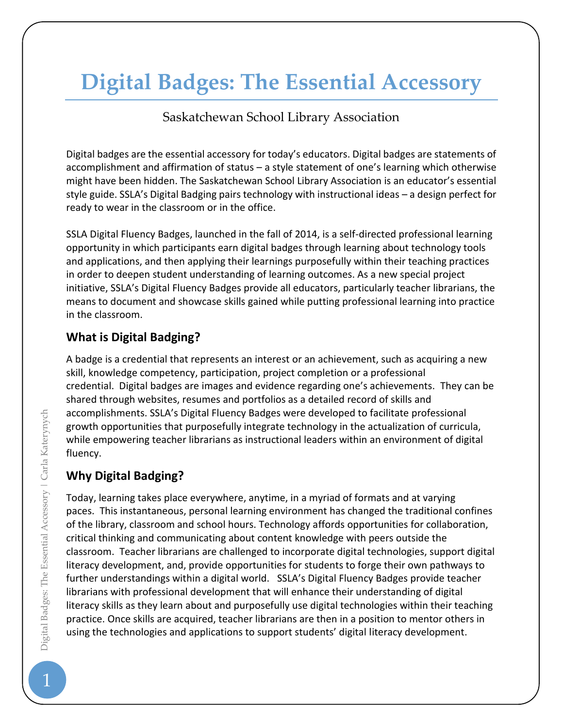# **Digital Badges: The Essential Accessory**

Saskatchewan School Library Association

Digital badges are the essential accessory for today's educators. Digital badges are statements of accomplishment and affirmation of status – a style statement of one's learning which otherwise might have been hidden. The Saskatchewan School Library Association is an educator's essential style guide. SSLA's Digital Badging pairs technology with instructional ideas – a design perfect for ready to wear in the classroom or in the office.

SSLA Digital Fluency Badges, launched in the fall of 2014, is a self-directed professional learning opportunity in which participants earn digital badges through learning about technology tools and applications, and then applying their learnings purposefully within their teaching practices in order to deepen student understanding of learning outcomes. As a new special project initiative, SSLA's Digital Fluency Badges provide all educators, particularly teacher librarians, the means to document and showcase skills gained while putting professional learning into practice in the classroom.

### **What is Digital Badging?**

A badge is a credential that represents an interest or an achievement, such as acquiring a new skill, knowledge competency, participation, project completion or a professional credential. Digital badges are images and evidence regarding one's achievements. They can be shared through websites, resumes and portfolios as a detailed record of skills and accomplishments. SSLA's Digital Fluency Badges were developed to facilitate professional growth opportunities that purposefully integrate technology in the actualization of curricula, while empowering teacher librarians as instructional leaders within an environment of digital fluency.

#### **Why Digital Badging?**

Today, learning takes place everywhere, anytime, in a myriad of formats and at varying paces. This instantaneous, personal learning environment has changed the traditional confines of the library, classroom and school hours. Technology affords opportunities for collaboration, critical thinking and communicating about content knowledge with peers outside the classroom. Teacher librarians are challenged to incorporate digital technologies, support digital literacy development, and, provide opportunities for students to forge their own pathways to further understandings within a digital world. SSLA's Digital Fluency Badges provide teacher librarians with professional development that will enhance their understanding of digital literacy skills as they learn about and purposefully use digital technologies within their teaching practice. Once skills are acquired, teacher librarians are then in a position to mentor others in using the technologies and applications to support students' digital literacy development.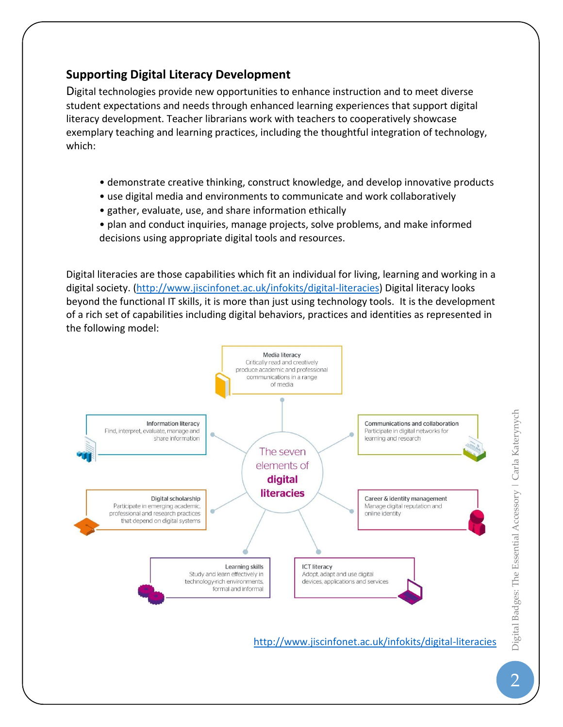#### **Supporting Digital Literacy Development**

Digital technologies provide new opportunities to enhance instruction and to meet diverse student expectations and needs through enhanced learning experiences that support digital literacy development. Teacher librarians work with teachers to cooperatively showcase exemplary teaching and learning practices, including the thoughtful integration of technology, which:

- demonstrate creative thinking, construct knowledge, and develop innovative products
- use digital media and environments to communicate and work collaboratively
- gather, evaluate, use, and share information ethically
- plan and conduct inquiries, manage projects, solve problems, and make informed decisions using appropriate digital tools and resources.

Digital literacies are those capabilities which fit an individual for living, learning and working in a digital society. [\(http://www.jiscinfonet.ac.uk/infokits/digital-literacies\)](http://www.jiscinfonet.ac.uk/infokits/digital-literacies) Digital literacy looks beyond the functional IT skills, it is more than just using technology tools. It is the development of a rich set of capabilities including digital behaviors, practices and identities as represented in the following model:

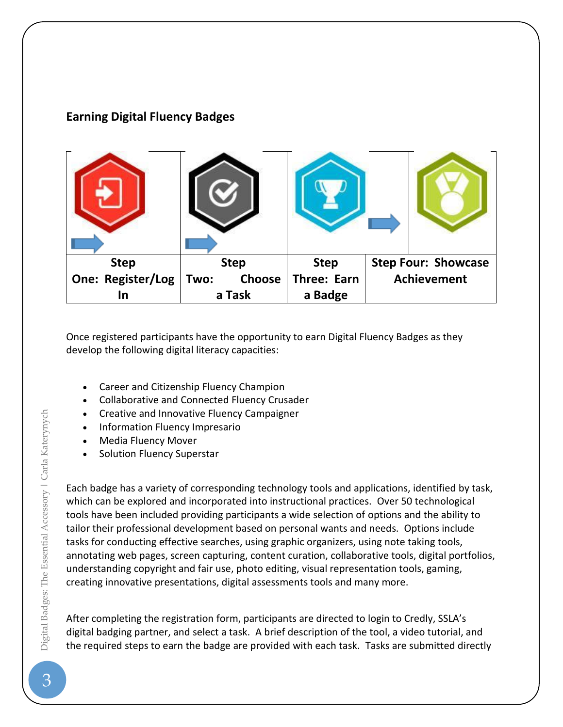## **Earning Digital Fluency Badges**



Once registered participants have the opportunity to earn Digital Fluency Badges as they develop the following digital literacy capacities:

- Career and Citizenship Fluency Champion
- Collaborative and Connected Fluency Crusader
- Creative and Innovative Fluency Campaigner
- Information Fluency Impresario
- Media Fluency Mover
- Solution Fluency Superstar

Each badge has a variety of corresponding technology tools and applications, identified by task, which can be explored and incorporated into instructional practices. Over 50 technological tools have been included providing participants a wide selection of options and the ability to tailor their professional development based on personal wants and needs. Options include tasks for conducting effective searches, using graphic organizers, using note taking tools, annotating web pages, screen capturing, content curation, collaborative tools, digital portfolios, understanding copyright and fair use, photo editing, visual representation tools, gaming, creating innovative presentations, digital assessments tools and many more.

After completing the registration form, participants are directed to login to Credly, SSLA's digital badging partner, and select a task. A brief description of the tool, a video tutorial, and the required steps to earn the badge are provided with each task. Tasks are submitted directly